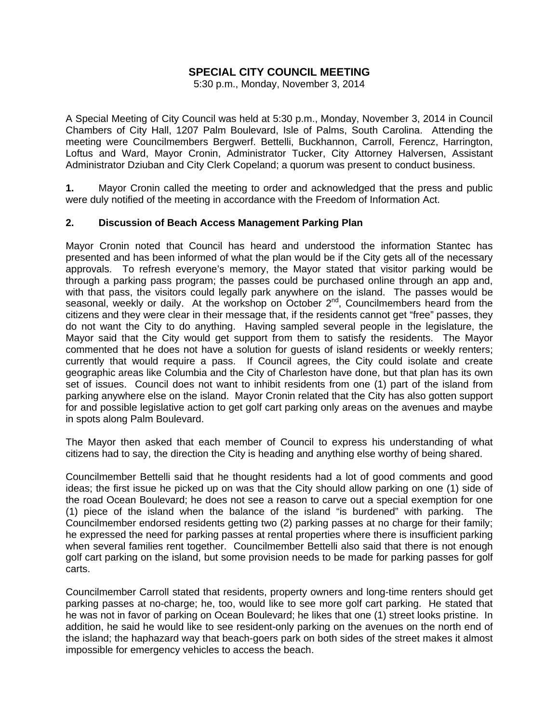# **SPECIAL CITY COUNCIL MEETING**

5:30 p.m., Monday, November 3, 2014

A Special Meeting of City Council was held at 5:30 p.m., Monday, November 3, 2014 in Council Chambers of City Hall, 1207 Palm Boulevard, Isle of Palms, South Carolina. Attending the meeting were Councilmembers Bergwerf. Bettelli, Buckhannon, Carroll, Ferencz, Harrington, Loftus and Ward, Mayor Cronin, Administrator Tucker, City Attorney Halversen, Assistant Administrator Dziuban and City Clerk Copeland; a quorum was present to conduct business.

**1.** Mayor Cronin called the meeting to order and acknowledged that the press and public were duly notified of the meeting in accordance with the Freedom of Information Act.

# **2. Discussion of Beach Access Management Parking Plan**

Mayor Cronin noted that Council has heard and understood the information Stantec has presented and has been informed of what the plan would be if the City gets all of the necessary approvals. To refresh everyone's memory, the Mayor stated that visitor parking would be through a parking pass program; the passes could be purchased online through an app and, with that pass, the visitors could legally park anywhere on the island. The passes would be seasonal, weekly or daily. At the workshop on October  $2^{nd}$ , Councilmembers heard from the citizens and they were clear in their message that, if the residents cannot get "free" passes, they do not want the City to do anything. Having sampled several people in the legislature, the Mayor said that the City would get support from them to satisfy the residents. The Mayor commented that he does not have a solution for guests of island residents or weekly renters; currently that would require a pass. If Council agrees, the City could isolate and create geographic areas like Columbia and the City of Charleston have done, but that plan has its own set of issues. Council does not want to inhibit residents from one (1) part of the island from parking anywhere else on the island. Mayor Cronin related that the City has also gotten support for and possible legislative action to get golf cart parking only areas on the avenues and maybe in spots along Palm Boulevard.

The Mayor then asked that each member of Council to express his understanding of what citizens had to say, the direction the City is heading and anything else worthy of being shared.

Councilmember Bettelli said that he thought residents had a lot of good comments and good ideas; the first issue he picked up on was that the City should allow parking on one (1) side of the road Ocean Boulevard; he does not see a reason to carve out a special exemption for one (1) piece of the island when the balance of the island "is burdened" with parking. The Councilmember endorsed residents getting two (2) parking passes at no charge for their family; he expressed the need for parking passes at rental properties where there is insufficient parking when several families rent together. Councilmember Bettelli also said that there is not enough golf cart parking on the island, but some provision needs to be made for parking passes for golf carts.

Councilmember Carroll stated that residents, property owners and long-time renters should get parking passes at no-charge; he, too, would like to see more golf cart parking. He stated that he was not in favor of parking on Ocean Boulevard; he likes that one (1) street looks pristine. In addition, he said he would like to see resident-only parking on the avenues on the north end of the island; the haphazard way that beach-goers park on both sides of the street makes it almost impossible for emergency vehicles to access the beach.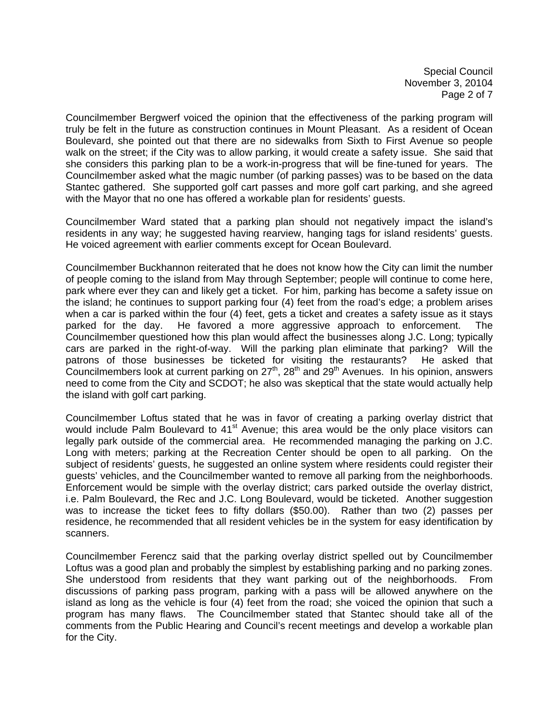Special Council November 3, 20104 Page 2 of 7

Councilmember Bergwerf voiced the opinion that the effectiveness of the parking program will truly be felt in the future as construction continues in Mount Pleasant. As a resident of Ocean Boulevard, she pointed out that there are no sidewalks from Sixth to First Avenue so people walk on the street; if the City was to allow parking, it would create a safety issue. She said that she considers this parking plan to be a work-in-progress that will be fine-tuned for years. The Councilmember asked what the magic number (of parking passes) was to be based on the data Stantec gathered. She supported golf cart passes and more golf cart parking, and she agreed with the Mayor that no one has offered a workable plan for residents' guests.

Councilmember Ward stated that a parking plan should not negatively impact the island's residents in any way; he suggested having rearview, hanging tags for island residents' guests. He voiced agreement with earlier comments except for Ocean Boulevard.

Councilmember Buckhannon reiterated that he does not know how the City can limit the number of people coming to the island from May through September; people will continue to come here, park where ever they can and likely get a ticket. For him, parking has become a safety issue on the island; he continues to support parking four (4) feet from the road's edge; a problem arises when a car is parked within the four (4) feet, gets a ticket and creates a safety issue as it stays parked for the day. He favored a more aggressive approach to enforcement. The Councilmember questioned how this plan would affect the businesses along J.C. Long; typically cars are parked in the right-of-way. Will the parking plan eliminate that parking? Will the patrons of those businesses be ticketed for visiting the restaurants? He asked that Councilmembers look at current parking on  $27<sup>th</sup>$ ,  $28<sup>th</sup>$  and  $29<sup>th</sup>$  Avenues. In his opinion, answers need to come from the City and SCDOT; he also was skeptical that the state would actually help the island with golf cart parking.

Councilmember Loftus stated that he was in favor of creating a parking overlay district that would include Palm Boulevard to  $41<sup>st</sup>$  Avenue; this area would be the only place visitors can legally park outside of the commercial area. He recommended managing the parking on J.C. Long with meters; parking at the Recreation Center should be open to all parking. On the subject of residents' guests, he suggested an online system where residents could register their guests' vehicles, and the Councilmember wanted to remove all parking from the neighborhoods. Enforcement would be simple with the overlay district; cars parked outside the overlay district, i.e. Palm Boulevard, the Rec and J.C. Long Boulevard, would be ticketed. Another suggestion was to increase the ticket fees to fifty dollars (\$50.00). Rather than two (2) passes per residence, he recommended that all resident vehicles be in the system for easy identification by scanners.

Councilmember Ferencz said that the parking overlay district spelled out by Councilmember Loftus was a good plan and probably the simplest by establishing parking and no parking zones. She understood from residents that they want parking out of the neighborhoods. From discussions of parking pass program, parking with a pass will be allowed anywhere on the island as long as the vehicle is four (4) feet from the road; she voiced the opinion that such a program has many flaws. The Councilmember stated that Stantec should take all of the comments from the Public Hearing and Council's recent meetings and develop a workable plan for the City.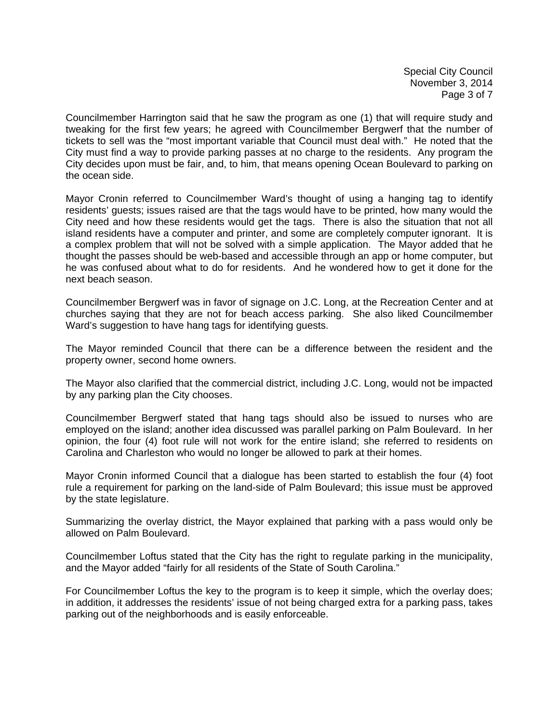Special City Council November 3, 2014 Page 3 of 7

Councilmember Harrington said that he saw the program as one (1) that will require study and tweaking for the first few years; he agreed with Councilmember Bergwerf that the number of tickets to sell was the "most important variable that Council must deal with." He noted that the City must find a way to provide parking passes at no charge to the residents. Any program the City decides upon must be fair, and, to him, that means opening Ocean Boulevard to parking on the ocean side.

Mayor Cronin referred to Councilmember Ward's thought of using a hanging tag to identify residents' guests; issues raised are that the tags would have to be printed, how many would the City need and how these residents would get the tags. There is also the situation that not all island residents have a computer and printer, and some are completely computer ignorant. It is a complex problem that will not be solved with a simple application. The Mayor added that he thought the passes should be web-based and accessible through an app or home computer, but he was confused about what to do for residents. And he wondered how to get it done for the next beach season.

Councilmember Bergwerf was in favor of signage on J.C. Long, at the Recreation Center and at churches saying that they are not for beach access parking. She also liked Councilmember Ward's suggestion to have hang tags for identifying guests.

The Mayor reminded Council that there can be a difference between the resident and the property owner, second home owners.

The Mayor also clarified that the commercial district, including J.C. Long, would not be impacted by any parking plan the City chooses.

Councilmember Bergwerf stated that hang tags should also be issued to nurses who are employed on the island; another idea discussed was parallel parking on Palm Boulevard. In her opinion, the four (4) foot rule will not work for the entire island; she referred to residents on Carolina and Charleston who would no longer be allowed to park at their homes.

Mayor Cronin informed Council that a dialogue has been started to establish the four (4) foot rule a requirement for parking on the land-side of Palm Boulevard; this issue must be approved by the state legislature.

Summarizing the overlay district, the Mayor explained that parking with a pass would only be allowed on Palm Boulevard.

Councilmember Loftus stated that the City has the right to regulate parking in the municipality, and the Mayor added "fairly for all residents of the State of South Carolina."

For Councilmember Loftus the key to the program is to keep it simple, which the overlay does; in addition, it addresses the residents' issue of not being charged extra for a parking pass, takes parking out of the neighborhoods and is easily enforceable.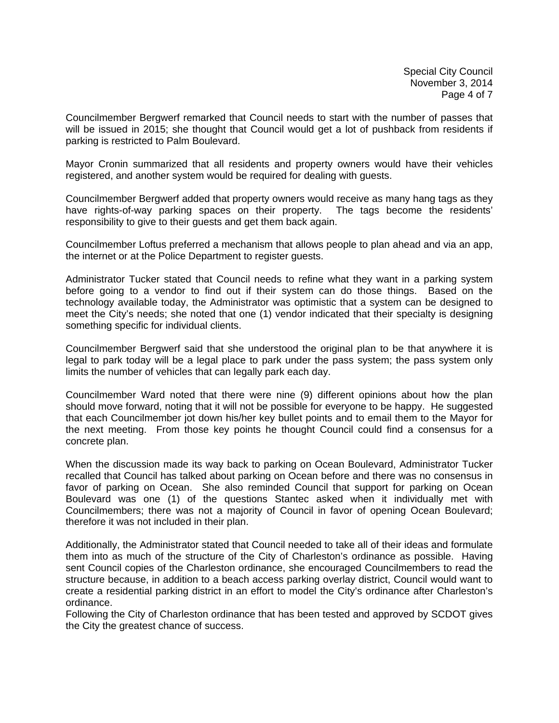Special City Council November 3, 2014 Page 4 of 7

Councilmember Bergwerf remarked that Council needs to start with the number of passes that will be issued in 2015; she thought that Council would get a lot of pushback from residents if parking is restricted to Palm Boulevard.

Mayor Cronin summarized that all residents and property owners would have their vehicles registered, and another system would be required for dealing with guests.

Councilmember Bergwerf added that property owners would receive as many hang tags as they have rights-of-way parking spaces on their property. The tags become the residents' responsibility to give to their guests and get them back again.

Councilmember Loftus preferred a mechanism that allows people to plan ahead and via an app, the internet or at the Police Department to register guests.

Administrator Tucker stated that Council needs to refine what they want in a parking system before going to a vendor to find out if their system can do those things. Based on the technology available today, the Administrator was optimistic that a system can be designed to meet the City's needs; she noted that one (1) vendor indicated that their specialty is designing something specific for individual clients.

Councilmember Bergwerf said that she understood the original plan to be that anywhere it is legal to park today will be a legal place to park under the pass system; the pass system only limits the number of vehicles that can legally park each day.

Councilmember Ward noted that there were nine (9) different opinions about how the plan should move forward, noting that it will not be possible for everyone to be happy. He suggested that each Councilmember jot down his/her key bullet points and to email them to the Mayor for the next meeting. From those key points he thought Council could find a consensus for a concrete plan.

When the discussion made its way back to parking on Ocean Boulevard, Administrator Tucker recalled that Council has talked about parking on Ocean before and there was no consensus in favor of parking on Ocean. She also reminded Council that support for parking on Ocean Boulevard was one (1) of the questions Stantec asked when it individually met with Councilmembers; there was not a majority of Council in favor of opening Ocean Boulevard; therefore it was not included in their plan.

Additionally, the Administrator stated that Council needed to take all of their ideas and formulate them into as much of the structure of the City of Charleston's ordinance as possible. Having sent Council copies of the Charleston ordinance, she encouraged Councilmembers to read the structure because, in addition to a beach access parking overlay district, Council would want to create a residential parking district in an effort to model the City's ordinance after Charleston's ordinance.

Following the City of Charleston ordinance that has been tested and approved by SCDOT gives the City the greatest chance of success.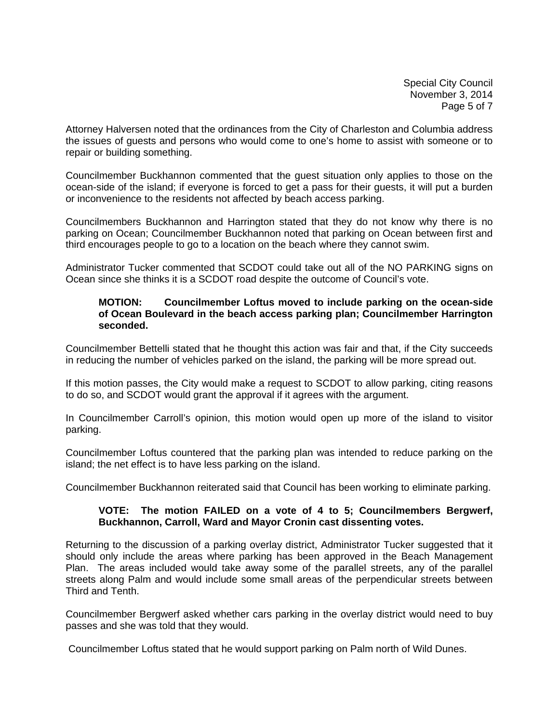Special City Council November 3, 2014 Page 5 of 7

Attorney Halversen noted that the ordinances from the City of Charleston and Columbia address the issues of guests and persons who would come to one's home to assist with someone or to repair or building something.

Councilmember Buckhannon commented that the guest situation only applies to those on the ocean-side of the island; if everyone is forced to get a pass for their guests, it will put a burden or inconvenience to the residents not affected by beach access parking.

Councilmembers Buckhannon and Harrington stated that they do not know why there is no parking on Ocean; Councilmember Buckhannon noted that parking on Ocean between first and third encourages people to go to a location on the beach where they cannot swim.

Administrator Tucker commented that SCDOT could take out all of the NO PARKING signs on Ocean since she thinks it is a SCDOT road despite the outcome of Council's vote.

# **MOTION: Councilmember Loftus moved to include parking on the ocean-side of Ocean Boulevard in the beach access parking plan; Councilmember Harrington seconded.**

Councilmember Bettelli stated that he thought this action was fair and that, if the City succeeds in reducing the number of vehicles parked on the island, the parking will be more spread out.

If this motion passes, the City would make a request to SCDOT to allow parking, citing reasons to do so, and SCDOT would grant the approval if it agrees with the argument.

In Councilmember Carroll's opinion, this motion would open up more of the island to visitor parking.

Councilmember Loftus countered that the parking plan was intended to reduce parking on the island; the net effect is to have less parking on the island.

Councilmember Buckhannon reiterated said that Council has been working to eliminate parking.

# **VOTE: The motion FAILED on a vote of 4 to 5; Councilmembers Bergwerf, Buckhannon, Carroll, Ward and Mayor Cronin cast dissenting votes.**

Returning to the discussion of a parking overlay district, Administrator Tucker suggested that it should only include the areas where parking has been approved in the Beach Management Plan. The areas included would take away some of the parallel streets, any of the parallel streets along Palm and would include some small areas of the perpendicular streets between Third and Tenth.

Councilmember Bergwerf asked whether cars parking in the overlay district would need to buy passes and she was told that they would.

Councilmember Loftus stated that he would support parking on Palm north of Wild Dunes.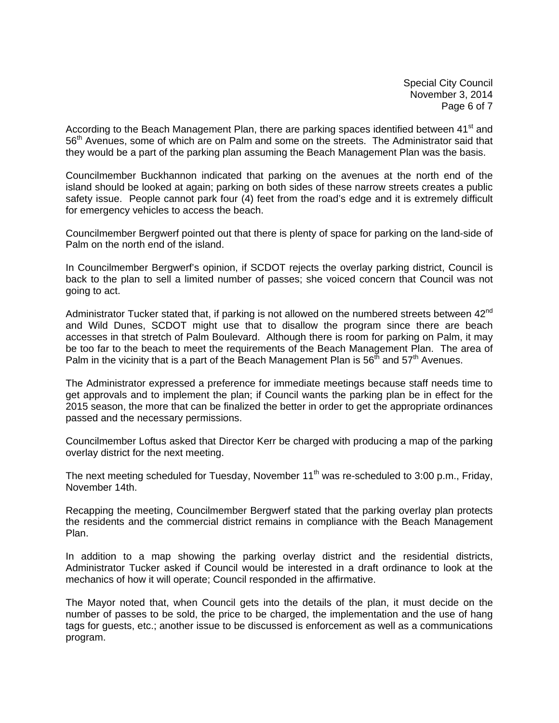Special City Council November 3, 2014 Page 6 of 7

According to the Beach Management Plan, there are parking spaces identified between 41<sup>st</sup> and 56<sup>th</sup> Avenues, some of which are on Palm and some on the streets. The Administrator said that they would be a part of the parking plan assuming the Beach Management Plan was the basis.

Councilmember Buckhannon indicated that parking on the avenues at the north end of the island should be looked at again; parking on both sides of these narrow streets creates a public safety issue. People cannot park four (4) feet from the road's edge and it is extremely difficult for emergency vehicles to access the beach.

Councilmember Bergwerf pointed out that there is plenty of space for parking on the land-side of Palm on the north end of the island.

In Councilmember Bergwerf's opinion, if SCDOT rejects the overlay parking district, Council is back to the plan to sell a limited number of passes; she voiced concern that Council was not going to act.

Administrator Tucker stated that, if parking is not allowed on the numbered streets between 42<sup>nd</sup> and Wild Dunes, SCDOT might use that to disallow the program since there are beach accesses in that stretch of Palm Boulevard. Although there is room for parking on Palm, it may be too far to the beach to meet the requirements of the Beach Management Plan. The area of Palm in the vicinity that is a part of the Beach Management Plan is  $56<sup>th</sup>$  and  $57<sup>th</sup>$  Avenues.

The Administrator expressed a preference for immediate meetings because staff needs time to get approvals and to implement the plan; if Council wants the parking plan be in effect for the 2015 season, the more that can be finalized the better in order to get the appropriate ordinances passed and the necessary permissions.

Councilmember Loftus asked that Director Kerr be charged with producing a map of the parking overlay district for the next meeting.

The next meeting scheduled for Tuesday, November  $11<sup>th</sup>$  was re-scheduled to 3:00 p.m., Friday, November 14th.

Recapping the meeting, Councilmember Bergwerf stated that the parking overlay plan protects the residents and the commercial district remains in compliance with the Beach Management Plan.

In addition to a map showing the parking overlay district and the residential districts, Administrator Tucker asked if Council would be interested in a draft ordinance to look at the mechanics of how it will operate; Council responded in the affirmative.

The Mayor noted that, when Council gets into the details of the plan, it must decide on the number of passes to be sold, the price to be charged, the implementation and the use of hang tags for guests, etc.; another issue to be discussed is enforcement as well as a communications program.